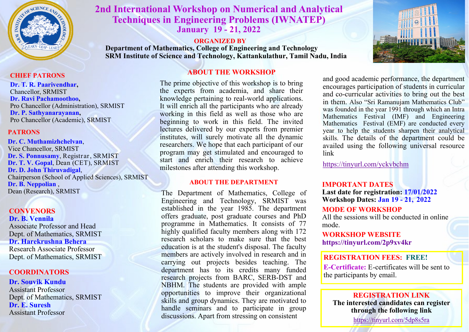

# **2nd International Workshop on Numerical and Analytical Techniques in Engineering Problems (IWNATEP) January 19 - 21, 2022**

### **ORGANIZED BY**

**Department of Mathematics, College of Engineering and Technology SRM Institute of Science and Technology, Kattankulathur, Tamil Nadu, India**



#### **CHIEF PATRONS**

**Dr. T. R. Paarivendhar,**  Chancellor, SRMIST **Dr. Ravi Pachamoothoo,**  Pro Chancellor (Administration), SRMIST **Dr. P. Sathyanarayanan,**  Pro Chancellor (Academic), SRMIST

### **PATRONS**

**Dr. C. Muthamizhchelvan**, Vice Chancellor, SRMIST **Dr. S. Ponnusamy**, Registrar, SRMIST **Dr. T. V. Gopal**, Dean (CET), SRMIST **Dr. D. John Thiruvadigal**, Chairperson (School of Applied Sciences), SRMIST **Dr. B. Neppolian** , Dean (Research), SRMIST

#### **CONVENORS Dr. B. Vennila**

Associate Professor and Head Dept. of Mathematics, SRMIST **Dr. Harekrushna Behera** Research Associate Professor Dept. of Mathematics, SRMIST

### **COORDINATORS**

### **Dr. Souvik Kundu**

Assistant Professor Dept. of Mathematics, SRMIST **Dr. E. Suresh** Assistant Professor

## **ABOUT THE WORKSHOP**

The prime objective of this workshop is to bring the experts from academia, and share their knowledge pertaining to real-world applications. It will enrich all the participants who are already working in this field as well as those who are beginning to work in this field. The invited lectures delivered by our experts from premier institutes, will surely motivate all the dynamic researchers. We hope that each participant of our program may get stimulated and encouraged to start and enrich their research to achieve milestones after attending this workshop.

### **ABOUT THE DEPARTMENT**

The Department of Mathematics, College of Engineering and Technology, SRMIST was established in the year 1985. The department offers graduate, post graduate courses and PhD programme in Mathematics. It consists of 77 highly qualified faculty members along with 172 research scholars to make sure that the best education is at the student's disposal. The faculty members are actively involved in research and in carrying out projects besides teaching. The department has to its credits many funded research projects from BARC, SERB-DST and NBHM. The students are provided with ample opportunities to improve their organizational skills and group dynamics. They are motivated to handle seminars and to participate in group discussions. Apart from stressing on consistent

and good academic performance, the department encourages participation of students in curricular and co-curricular activities to bring out the best in them. Also "Sri Ramanujam Mathematics Club" was founded in the year 1991 through which an Intra Mathematics Festival (IMF) and Engineering Mathematics Festival (EMF) are conducted every year to help the students sharpen their analytical skills. The details of the department could be availed using the following universal resource link

<https://tinyurl.com/yckvbchm>

### **IMPORTANT DATES**

**Last date for registration: 17/01/2022 Workshop Dates: Jan 19 - 21, 2022**

### **MODE OF WORKSHOP**

All the sessions will be conducted in online mode.

**WORKSHOP WEBSITE <https://tinyurl.com/2p9xv4kr>**

### **REGISTRATION FEES: FREE!**

**E-Certificate:** E-certificates will be sent to the participants by email.

### **REGISTRATION LINK**

**The interested candidates can register through the following link** 

<https://tinyurl.com/5dp8s5ra>